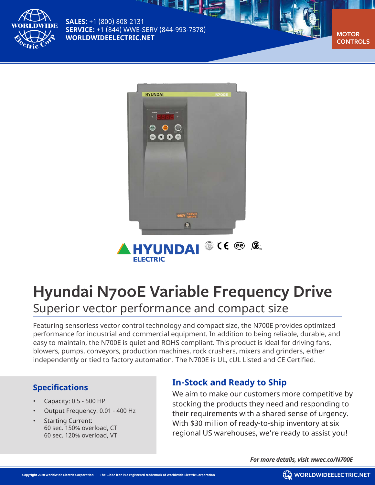

**SALES:** +1 (800) 808-2131 **SERVICE:** +1 (844) WWE-SERV (844-993-7378) **[WORLDWIDEELECTRIC.NET](http://worldwideelectric.net)** 

【柳一】

**CONTROLS**



# **Hyundai N700E Variable Frequency Drive** Superior vector performance and compact size

Featuring sensorless vector control technology and compact size, the N700E provides optimized performance for industrial and commercial equipment. In addition to being reliable, durable, and easy to maintain, the N700E is quiet and ROHS compliant. This product is ideal for driving fans, blowers, pumps, conveyors, production machines, rock crushers, mixers and grinders, either independently or tied to factory automation. The N700E is UL, cUL Listed and CE Certified.

## **Specifications**

- Capacity: 0.5 500 HP
- Output Frequency: 0.01 400 Hz
- **Starting Current:** 60 sec. 150% overload, CT 60 sec. 120% overload, VT

# **In-Stock and Ready to Ship**

We aim to make our customers more competitive by stocking the products they need and responding to their requirements with a shared sense of urgency. With \$30 million of ready-to-ship inventory at six regional US warehouses, we're ready to assist you!

*For more details, visit [wwec.co/N700E](http://wwec.co/N700E)*